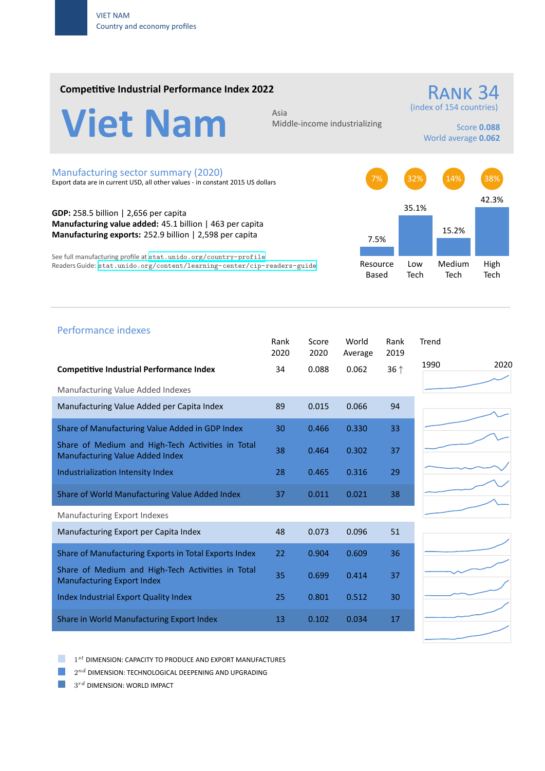### **Competitive Industrial Performance Index 2022**



Middle‐income industrializing

# (index of 154 countries)

RANK 34

Score **0.088** World average **0.062**

#### Manufacturing sector summary (2020)

Export data are in current USD, all other values ‐ in constant 2015 US dollars

**GDP:** 258.5 billion | 2,656 per capita **Manufacturing value added:** 45.1 billion | 463 per capita **Manufacturing exports:** 252.9 billion | 2,598 per capita

See full manufacturing profile at stat.unido.org/country-profile Readers Guide: stat.unido.org/content/learning-center/cip-readers-guide



## 1990 2020 Performance indexes Rank Score World Rank Trend 2020 2020 Average 2019 **Competitive Industrial Performance Index** 34 0.088 0.062 36 *↑* Manufacturing Value Added Indexes Manufacturing Value Added per Capita Index 89 0.015 0.066 94 Share of Manufacturing Value Added in GDP Index 30 0.466 0.330 33 Share of Medium and High‐Tech Activities in Total Share of Medium and High-fech Activities in Total 38 0.464 0.302 37 Industrialization Intensity Index 28 0.465 0.316 29 Share of World Manufacturing Value Added Index 37 0.011 0.021 38 Manufacturing Export Indexes Manufacturing Export per Capita Index 48 0.073 0.096 51 Share of Manufacturing Exports in Total Exports Index 22 0.904 0.609 36 Share of Medium and High‐Tech Activities in Total Share of Medium and High-fech Activities in fotor 35 0.699 0.414 37 Index Industrial Export Quality Index 25 0.801 0.512 30 Share in World Manufacturing Export Index 13 0.102 0.034 17

1 *st* DIMENSION: CAPACITY TO PRODUCE AND EXPORT MANUFACTURES

 $2^{nd}$  DIMENSION: TECHNOLOGICAL DEEPENING AND UPGRADING

 $3^{rd}$  DIMENSION: WORLD IMPACT